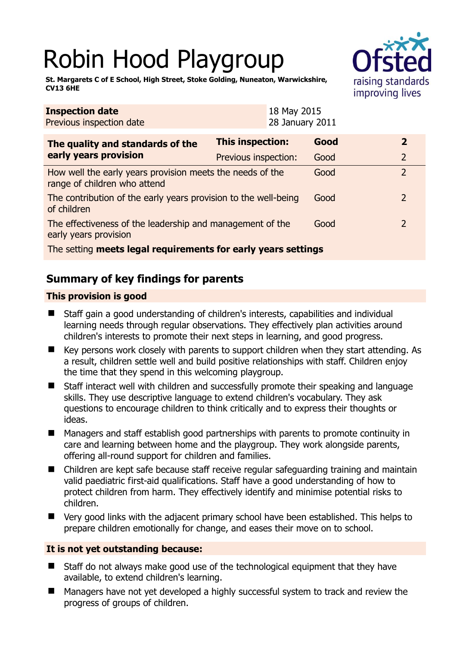# Robin Hood Playgroup



**St. Margarets C of E School, High Street, Stoke Golding, Nuneaton, Warwickshire, CV13 6HE** 

| <b>Inspection date</b><br>Previous inspection date                                        |                         | 18 May 2015<br>28 January 2011 |      |  |                |
|-------------------------------------------------------------------------------------------|-------------------------|--------------------------------|------|--|----------------|
| The quality and standards of the<br>early years provision                                 | <b>This inspection:</b> |                                | Good |  | $\mathbf{2}$   |
|                                                                                           | Previous inspection:    |                                | Good |  | $\overline{2}$ |
| How well the early years provision meets the needs of the<br>range of children who attend |                         |                                | Good |  | $\overline{2}$ |
| The contribution of the early years provision to the well-being<br>of children            |                         |                                | Good |  | 2              |
| The effectiveness of the leadership and management of the<br>early years provision        |                         |                                | Good |  | $\mathcal{L}$  |
| The setting meets legal requirements for early years settings                             |                         |                                |      |  |                |

# **Summary of key findings for parents**

## **This provision is good**

- Staff gain a good understanding of children's interests, capabilities and individual learning needs through regular observations. They effectively plan activities around children's interests to promote their next steps in learning, and good progress.
- $\blacksquare$  Key persons work closely with parents to support children when they start attending. As a result, children settle well and build positive relationships with staff. Children enjoy the time that they spend in this welcoming playgroup.
- Staff interact well with children and successfully promote their speaking and language skills. They use descriptive language to extend children's vocabulary. They ask questions to encourage children to think critically and to express their thoughts or ideas.
- Managers and staff establish good partnerships with parents to promote continuity in care and learning between home and the playgroup. They work alongside parents, offering all-round support for children and families.
- Children are kept safe because staff receive regular safeguarding training and maintain valid paediatric first-aid qualifications. Staff have a good understanding of how to protect children from harm. They effectively identify and minimise potential risks to children.
- Very good links with the adjacent primary school have been established. This helps to prepare children emotionally for change, and eases their move on to school.

### **It is not yet outstanding because:**

- Staff do not always make good use of the technological equipment that they have available, to extend children's learning.
- Managers have not yet developed a highly successful system to track and review the progress of groups of children.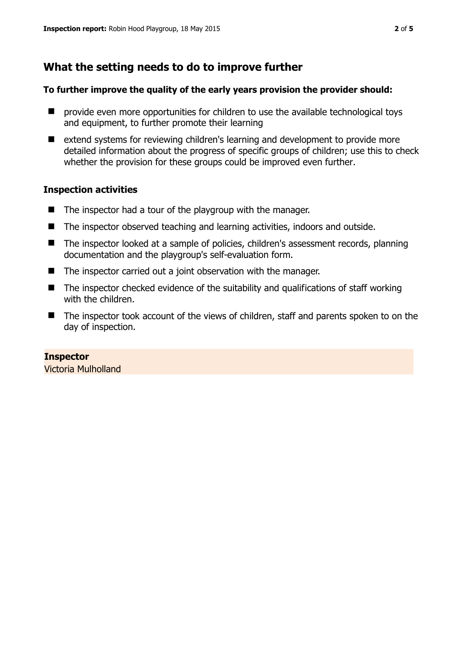# **What the setting needs to do to improve further**

#### **To further improve the quality of the early years provision the provider should:**

- $\blacksquare$  provide even more opportunities for children to use the available technological toys and equipment, to further promote their learning
- extend systems for reviewing children's learning and development to provide more detailed information about the progress of specific groups of children; use this to check whether the provision for these groups could be improved even further.

#### **Inspection activities**

- $\blacksquare$  The inspector had a tour of the playgroup with the manager.
- The inspector observed teaching and learning activities, indoors and outside.
- The inspector looked at a sample of policies, children's assessment records, planning documentation and the playgroup's self-evaluation form.
- The inspector carried out a joint observation with the manager.
- The inspector checked evidence of the suitability and qualifications of staff working with the children.
- The inspector took account of the views of children, staff and parents spoken to on the day of inspection.

#### **Inspector**

Victoria Mulholland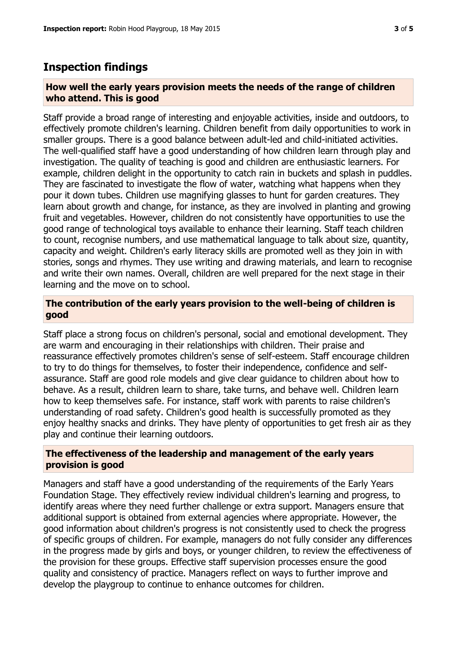## **Inspection findings**

#### **How well the early years provision meets the needs of the range of children who attend. This is good**

Staff provide a broad range of interesting and enjoyable activities, inside and outdoors, to effectively promote children's learning. Children benefit from daily opportunities to work in smaller groups. There is a good balance between adult-led and child-initiated activities. The well-qualified staff have a good understanding of how children learn through play and investigation. The quality of teaching is good and children are enthusiastic learners. For example, children delight in the opportunity to catch rain in buckets and splash in puddles. They are fascinated to investigate the flow of water, watching what happens when they pour it down tubes. Children use magnifying glasses to hunt for garden creatures. They learn about growth and change, for instance, as they are involved in planting and growing fruit and vegetables. However, children do not consistently have opportunities to use the good range of technological toys available to enhance their learning. Staff teach children to count, recognise numbers, and use mathematical language to talk about size, quantity, capacity and weight. Children's early literacy skills are promoted well as they join in with stories, songs and rhymes. They use writing and drawing materials, and learn to recognise and write their own names. Overall, children are well prepared for the next stage in their learning and the move on to school.

#### **The contribution of the early years provision to the well-being of children is good**

Staff place a strong focus on children's personal, social and emotional development. They are warm and encouraging in their relationships with children. Their praise and reassurance effectively promotes children's sense of self-esteem. Staff encourage children to try to do things for themselves, to foster their independence, confidence and selfassurance. Staff are good role models and give clear guidance to children about how to behave. As a result, children learn to share, take turns, and behave well. Children learn how to keep themselves safe. For instance, staff work with parents to raise children's understanding of road safety. Children's good health is successfully promoted as they enjoy healthy snacks and drinks. They have plenty of opportunities to get fresh air as they play and continue their learning outdoors.

#### **The effectiveness of the leadership and management of the early years provision is good**

Managers and staff have a good understanding of the requirements of the Early Years Foundation Stage. They effectively review individual children's learning and progress, to identify areas where they need further challenge or extra support. Managers ensure that additional support is obtained from external agencies where appropriate. However, the good information about children's progress is not consistently used to check the progress of specific groups of children. For example, managers do not fully consider any differences in the progress made by girls and boys, or younger children, to review the effectiveness of the provision for these groups. Effective staff supervision processes ensure the good quality and consistency of practice. Managers reflect on ways to further improve and develop the playgroup to continue to enhance outcomes for children.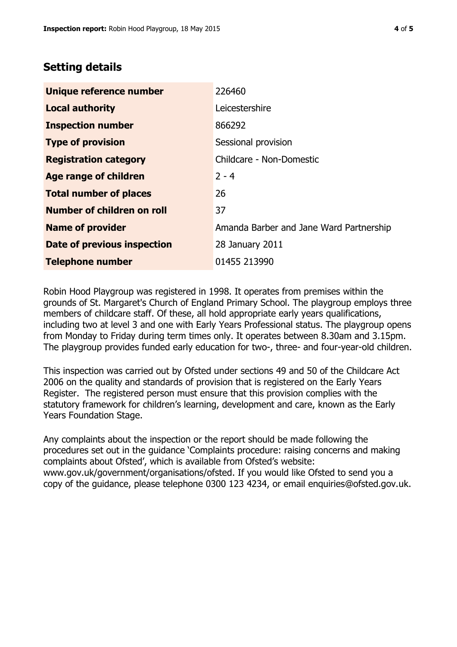## **Setting details**

| Unique reference number       | 226460                                  |  |
|-------------------------------|-----------------------------------------|--|
| <b>Local authority</b>        | Leicestershire                          |  |
| <b>Inspection number</b>      | 866292                                  |  |
| <b>Type of provision</b>      | Sessional provision                     |  |
| <b>Registration category</b>  | Childcare - Non-Domestic                |  |
| Age range of children         | $2 - 4$                                 |  |
| <b>Total number of places</b> | 26                                      |  |
| Number of children on roll    | 37                                      |  |
| <b>Name of provider</b>       | Amanda Barber and Jane Ward Partnership |  |
| Date of previous inspection   | 28 January 2011                         |  |
| <b>Telephone number</b>       | 01455 213990                            |  |

Robin Hood Playgroup was registered in 1998. It operates from premises within the grounds of St. Margaret's Church of England Primary School. The playgroup employs three members of childcare staff. Of these, all hold appropriate early years qualifications, including two at level 3 and one with Early Years Professional status. The playgroup opens from Monday to Friday during term times only. It operates between 8.30am and 3.15pm. The playgroup provides funded early education for two-, three- and four-year-old children.

This inspection was carried out by Ofsted under sections 49 and 50 of the Childcare Act 2006 on the quality and standards of provision that is registered on the Early Years Register. The registered person must ensure that this provision complies with the statutory framework for children's learning, development and care, known as the Early Years Foundation Stage.

Any complaints about the inspection or the report should be made following the procedures set out in the guidance 'Complaints procedure: raising concerns and making complaints about Ofsted', which is available from Ofsted's website: www.gov.uk/government/organisations/ofsted. If you would like Ofsted to send you a copy of the guidance, please telephone 0300 123 4234, or email enquiries@ofsted.gov.uk.